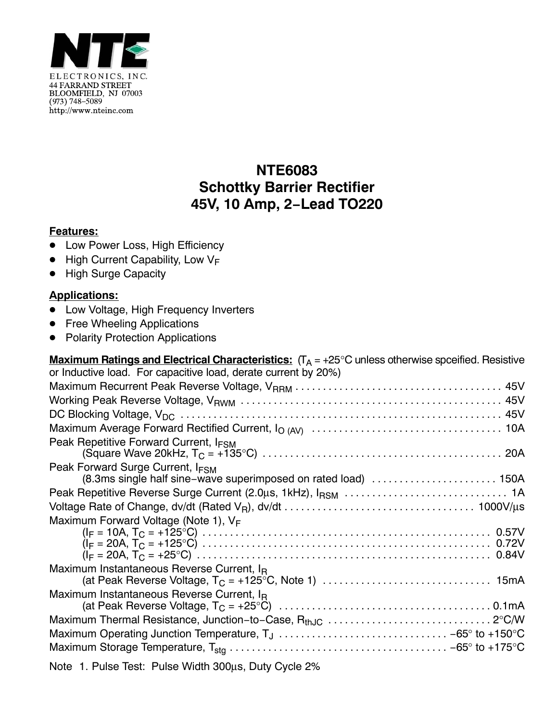

## **NTE6083 Schottky Barrier Rectifier 45V, 10 Amp, 2−Lead TO220**

## **Features:**

- **Low Power Loss, High Efficiency**
- $\bullet$  High Current Capability, Low V<sub>F</sub>
- $\bullet$ High Surge Capacity

## **Applications:**

- Low Voltage, High Frequency Inverters
- Free Wheeling Applications
- Polarity Protection Applications

| <b>Maximum Ratings and Electrical Characteristics:</b> $(T_A = +25^{\circ}C$ unless otherwise spceified. Resistive |
|--------------------------------------------------------------------------------------------------------------------|
| or Inductive load. For capacitive load, derate current by 20%)                                                     |
|                                                                                                                    |
|                                                                                                                    |
|                                                                                                                    |
|                                                                                                                    |
| Peak Repetitive Forward Current, I <sub>FSM</sub>                                                                  |
| Peak Forward Surge Current, I <sub>FSM</sub><br>(8.3ms single half sine-wave superimposed on rated load)  150A     |
|                                                                                                                    |
|                                                                                                                    |
| Maximum Forward Voltage (Note 1), $V_F$                                                                            |
|                                                                                                                    |
|                                                                                                                    |
|                                                                                                                    |
| Maximum Instantaneous Reverse Current, I <sub>R</sub>                                                              |
| Maximum Instantaneous Reverse Current, I <sub>B</sub>                                                              |
|                                                                                                                    |
|                                                                                                                    |
|                                                                                                                    |
|                                                                                                                    |
|                                                                                                                    |

Note 1. Pulse Test: Pulse Width 300μs, Duty Cycle 2%